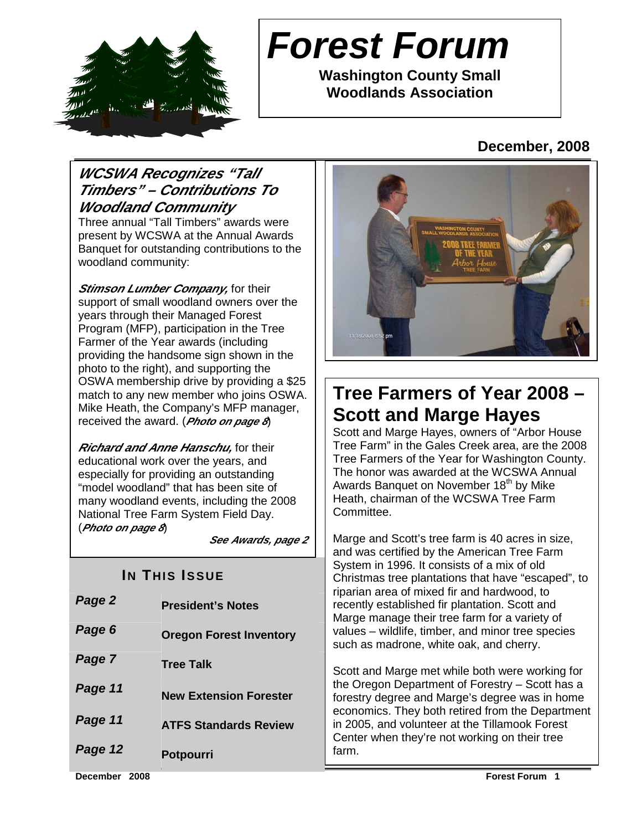

# **Forest Forum**

**Washington County Small Woodlands Association** 

### **December, 2008**

### **WCSWA Recognizes "Tall Timbers" – Contributions To Woodland Community**

Three annual "Tall Timbers" awards were present by WCSWA at the Annual Awards Banquet for outstanding contributions to the woodland community:

**Stimson Lumber Company, for their** support of small woodland owners over the years through their Managed Forest Program (MFP), participation in the Tree Farmer of the Year awards (including providing the handsome sign shown in the photo to the right), and supporting the OSWA membership drive by providing a \$25 match to any new member who joins OSWA. Mike Heath, the Company's MFP manager, received the award. (**Photo on page 8**)

**Richard and Anne Hanschu,** for their educational work over the years, and especially for providing an outstanding "model woodland" that has been site of many woodland events, including the 2008 National Tree Farm System Field Day. (**Photo on page 8**)

**See Awards, page 2**

### **IN THIS ISSUE**

| Page 2  | <b>President's Notes</b>       |
|---------|--------------------------------|
| Page 6  | <b>Oregon Forest Inventory</b> |
| Page 7  | <b>Tree Talk</b>               |
| Page 11 | <b>New Extension Forester</b>  |
| Page 11 | <b>ATFS Standards Review</b>   |
| Page 12 | <b>Potpourri</b>               |



## **Tree Farmers of Year 2008 – Scott and Marge Hayes**

Scott and Marge Hayes, owners of "Arbor House Tree Farm" in the Gales Creek area, are the 2008 Tree Farmers of the Year for Washington County. The honor was awarded at the WCSWA Annual Awards Banquet on November 18<sup>th</sup> by Mike Heath, chairman of the WCSWA Tree Farm Committee.

Marge and Scott's tree farm is 40 acres in size, and was certified by the American Tree Farm System in 1996. It consists of a mix of old Christmas tree plantations that have "escaped", to riparian area of mixed fir and hardwood, to recently established fir plantation. Scott and Marge manage their tree farm for a variety of values – wildlife, timber, and minor tree species such as madrone, white oak, and cherry.

Scott and Marge met while both were working for the Oregon Department of Forestry – Scott has a forestry degree and Marge's degree was in home economics. They both retired from the Department in 2005, and volunteer at the Tillamook Forest Center when they're not working on their tree farm.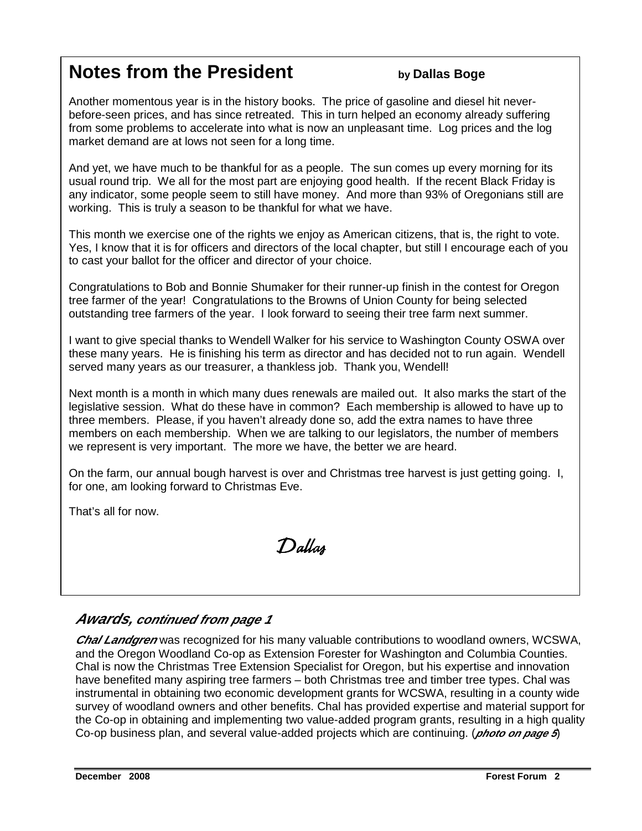## **Notes from the President by Dallas Boge**

Another momentous year is in the history books. The price of gasoline and diesel hit neverbefore-seen prices, and has since retreated. This in turn helped an economy already suffering from some problems to accelerate into what is now an unpleasant time. Log prices and the log market demand are at lows not seen for a long time.

And yet, we have much to be thankful for as a people. The sun comes up every morning for its usual round trip. We all for the most part are enjoying good health. If the recent Black Friday is any indicator, some people seem to still have money. And more than 93% of Oregonians still are working. This is truly a season to be thankful for what we have.

This month we exercise one of the rights we enjoy as American citizens, that is, the right to vote. Yes, I know that it is for officers and directors of the local chapter, but still I encourage each of you to cast your ballot for the officer and director of your choice.

Congratulations to Bob and Bonnie Shumaker for their runner-up finish in the contest for Oregon tree farmer of the year! Congratulations to the Browns of Union County for being selected outstanding tree farmers of the year. I look forward to seeing their tree farm next summer.

I want to give special thanks to Wendell Walker for his service to Washington County OSWA over these many years. He is finishing his term as director and has decided not to run again. Wendell served many years as our treasurer, a thankless job. Thank you, Wendell!

Next month is a month in which many dues renewals are mailed out. It also marks the start of the legislative session. What do these have in common? Each membership is allowed to have up to three members. Please, if you haven't already done so, add the extra names to have three members on each membership. When we are talking to our legislators, the number of members we represent is very important. The more we have, the better we are heard.

On the farm, our annual bough harvest is over and Christmas tree harvest is just getting going. I, for one, am looking forward to Christmas Eve.

That's all for now.

Dallas

### **Awards, continued from page 1**

**Chal Landgren** was recognized for his many valuable contributions to woodland owners, WCSWA, and the Oregon Woodland Co-op as Extension Forester for Washington and Columbia Counties. Chal is now the Christmas Tree Extension Specialist for Oregon, but his expertise and innovation have benefited many aspiring tree farmers – both Christmas tree and timber tree types. Chal was instrumental in obtaining two economic development grants for WCSWA, resulting in a county wide survey of woodland owners and other benefits. Chal has provided expertise and material support for the Co-op in obtaining and implementing two value-added program grants, resulting in a high quality Co-op business plan, and several value-added projects which are continuing. (**photo on page 5**)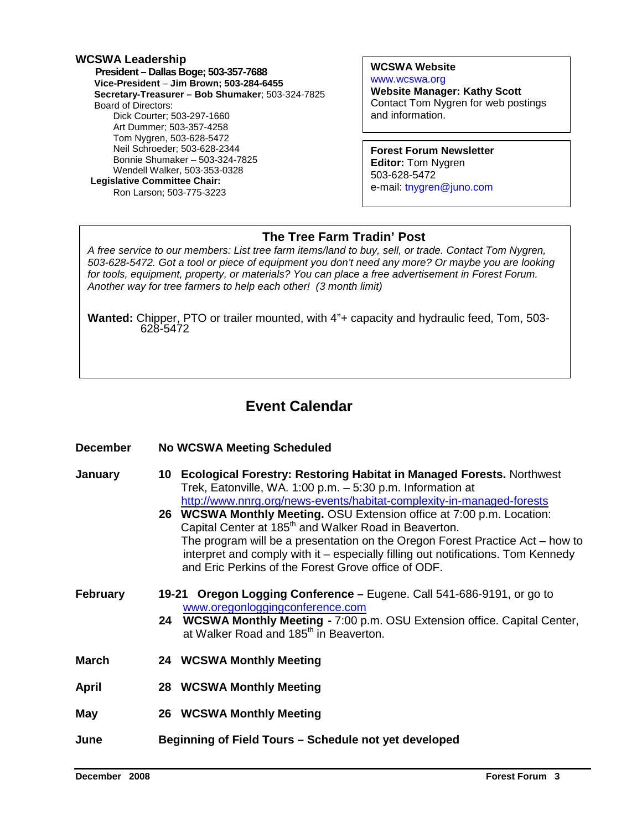#### **WCSWA Leadership President – Dallas Boge; 503-357-7688 Vice-President** – **Jim Brown; 503-284-6455 Secretary-Treasurer – Bob Shumaker**; 503-324-7825 Board of Directors: Dick Courter; 503-297-1660 Art Dummer; 503-357-4258 Tom Nygren, 503-628-5472 Neil Schroeder; 503-628-2344 Bonnie Shumaker – 503-324-7825 Wendell Walker, 503-353-0328  **Legislative Committee Chair:**  Ron Larson; 503-775-3223

#### **WCSWA Website** www.wcswa.org

**Website Manager: Kathy Scott** Contact Tom Nygren for web postings and information.

**Forest Forum Newsletter Editor:** Tom Nygren 503-628-5472 e-mail: tnygren@juno.com

### **The Tree Farm Tradin' Post**

 for tools, equipment, property, or materials? You can place a free advertisement in Forest Forum. A free service to our members: List tree farm items/land to buy, sell, or trade. Contact Tom Nygren, 503-628-5472. Got a tool or piece of equipment you don't need any more? Or maybe you are looking Another way for tree farmers to help each other! (3 month limit)

**Wanted:** Chipper, PTO or trailer mounted, with 4"+ capacity and hydraulic feed, Tom, 503- 628-5472

### **Event Calendar**

| <b>December</b> | <b>No WCSWA Meeting Scheduled</b>                                                                                                                                                                                                                                                                                                                                                                                                                                                                                                                                                        |  |  |
|-----------------|------------------------------------------------------------------------------------------------------------------------------------------------------------------------------------------------------------------------------------------------------------------------------------------------------------------------------------------------------------------------------------------------------------------------------------------------------------------------------------------------------------------------------------------------------------------------------------------|--|--|
| January         | 10 Ecological Forestry: Restoring Habitat in Managed Forests. Northwest<br>Trek, Eatonville, WA. 1:00 p.m. - 5:30 p.m. Information at<br>http://www.nnrg.org/news-events/habitat-complexity-in-managed-forests<br>26 WCSWA Monthly Meeting. OSU Extension office at 7:00 p.m. Location:<br>Capital Center at 185 <sup>th</sup> and Walker Road in Beaverton.<br>The program will be a presentation on the Oregon Forest Practice Act – how to<br>interpret and comply with it – especially filling out notifications. Tom Kennedy<br>and Eric Perkins of the Forest Grove office of ODF. |  |  |
| <b>February</b> | 19-21 Oregon Logging Conference - Eugene. Call 541-686-9191, or go to<br>www.oregonloggingconference.com<br>24 WCSWA Monthly Meeting - 7:00 p.m. OSU Extension office. Capital Center,<br>at Walker Road and 185 <sup>th</sup> in Beaverton.                                                                                                                                                                                                                                                                                                                                             |  |  |
| <b>March</b>    | 24 WCSWA Monthly Meeting                                                                                                                                                                                                                                                                                                                                                                                                                                                                                                                                                                 |  |  |
| April           | 28 WCSWA Monthly Meeting                                                                                                                                                                                                                                                                                                                                                                                                                                                                                                                                                                 |  |  |
| May             | 26 WCSWA Monthly Meeting                                                                                                                                                                                                                                                                                                                                                                                                                                                                                                                                                                 |  |  |
| June            | Beginning of Field Tours - Schedule not yet developed                                                                                                                                                                                                                                                                                                                                                                                                                                                                                                                                    |  |  |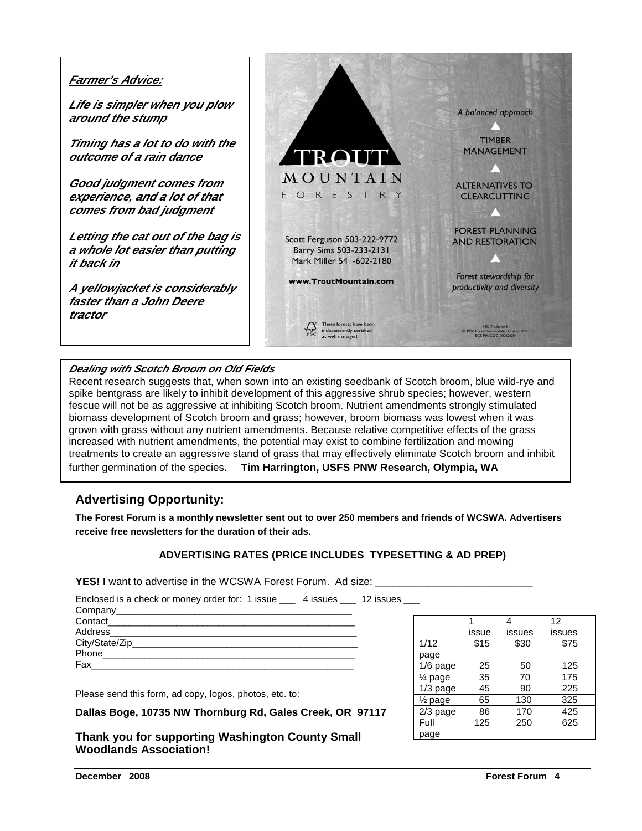

#### **Dealing with Scotch Broom on Old Fields**

Recent research suggests that, when sown into an existing seedbank of Scotch broom, blue wild-rye and spike bentgrass are likely to inhibit development of this aggressive shrub species; however, western fescue will not be as aggressive at inhibiting Scotch broom. Nutrient amendments strongly stimulated biomass development of Scotch broom and grass; however, broom biomass was lowest when it was grown with grass without any nutrient amendments. Because relative competitive effects of the grass increased with nutrient amendments, the potential may exist to combine fertilization and mowing treatments to create an aggressive stand of grass that may effectively eliminate Scotch broom and inhibit further germination of the species. **Tim Harrington, USFS PNW Research, Olympia, WA** 

#### **Advertising Opportunity:**

**The Forest Forum is a monthly newsletter sent out to over 250 members and friends of WCSWA. Advertisers receive free newsletters for the duration of their ads.** 

#### **ADVERTISING RATES (PRICE INCLUDES TYPESETTING & AD PREP)**

**YES!** I want to advertise in the WCSWA Forest Forum. Ad size: \_\_\_\_\_\_\_\_\_\_\_\_\_\_\_\_\_\_

| Enclosed is a check or money order for: 1 issue 4 issues 12 issues |  |
|--------------------------------------------------------------------|--|
|                                                                    |  |
| Contact                                                            |  |
| Address                                                            |  |
| City/State/Zip                                                     |  |

Please send this form, ad copy, logos, photos, etc. to:

**Dallas Boge, 10735 NW Thornburg Rd, Gales Creek, OR 97117** 

**Thank you for supporting Washington County Small Woodlands Association!** 

Fax\_\_\_\_\_\_\_\_\_\_\_\_\_\_\_\_\_\_\_\_\_\_\_\_\_\_\_\_\_\_\_\_\_\_\_\_\_\_\_\_\_\_\_\_\_\_\_\_\_\_

|                    |       |        | 12     |
|--------------------|-------|--------|--------|
|                    | issue | issues | issues |
| 1/12               | \$15  | \$30   | \$75   |
| page               |       |        |        |
| $1/6$ page         | 25    | 50     | 125    |
| 1⁄4 page           | 35    | 70     | 175    |
| $1/3$ page         | 45    | 90     | 225    |
| $\frac{1}{2}$ page | 65    | 130    | 325    |
| $2/3$ page         | 86    | 170    | 425    |
| Full               | 125   | 250    | 625    |
| page               |       |        |        |

Phone\_\_\_\_\_\_\_\_\_\_\_\_\_\_\_\_\_\_\_\_\_\_\_\_\_\_\_\_\_\_\_\_\_\_\_\_\_\_\_\_\_\_\_\_\_\_\_\_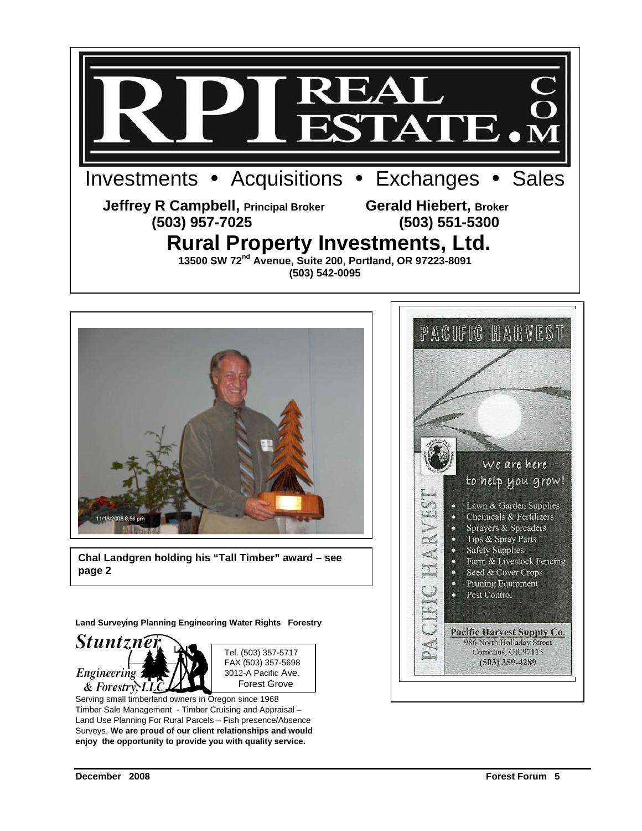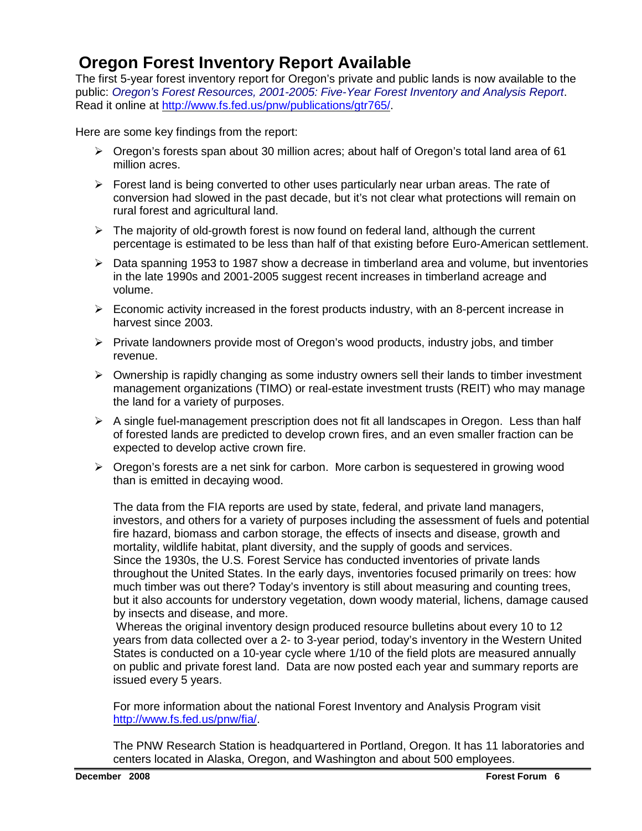### **Oregon Forest Inventory Report Available**

The first 5-year forest inventory report for Oregon's private and public lands is now available to the public: Oregon's Forest Resources, 2001-2005: Five-Year Forest Inventory and Analysis Report. Read it online at http://www.fs.fed.us/pnw/publications/gtr765/.

Here are some key findings from the report:

- > Oregon's forests span about 30 million acres; about half of Oregon's total land area of 61 million acres.
- > Forest land is being converted to other uses particularly near urban areas. The rate of conversion had slowed in the past decade, but it's not clear what protections will remain on rural forest and agricultural land.
- > The majority of old-growth forest is now found on federal land, although the current percentage is estimated to be less than half of that existing before Euro-American settlement.
- > Data spanning 1953 to 1987 show a decrease in timberland area and volume, but inventories in the late 1990s and 2001-2005 suggest recent increases in timberland acreage and volume.
- > Economic activity increased in the forest products industry, with an 8-percent increase in harvest since 2003.
- > Private landowners provide most of Oregon's wood products, industry jobs, and timber revenue.
- > Ownership is rapidly changing as some industry owners sell their lands to timber investment management organizations (TIMO) or real-estate investment trusts (REIT) who may manage the land for a variety of purposes.
- > A single fuel-management prescription does not fit all landscapes in Oregon. Less than half of forested lands are predicted to develop crown fires, and an even smaller fraction can be expected to develop active crown fire.
- > Oregon's forests are a net sink for carbon. More carbon is sequestered in growing wood than is emitted in decaying wood.

The data from the FIA reports are used by state, federal, and private land managers, investors, and others for a variety of purposes including the assessment of fuels and potential fire hazard, biomass and carbon storage, the effects of insects and disease, growth and mortality, wildlife habitat, plant diversity, and the supply of goods and services. Since the 1930s, the U.S. Forest Service has conducted inventories of private lands throughout the United States. In the early days, inventories focused primarily on trees: how much timber was out there? Today's inventory is still about measuring and counting trees, but it also accounts for understory vegetation, down woody material, lichens, damage caused by insects and disease, and more.

 Whereas the original inventory design produced resource bulletins about every 10 to 12 years from data collected over a 2- to 3-year period, today's inventory in the Western United States is conducted on a 10-year cycle where 1/10 of the field plots are measured annually on public and private forest land. Data are now posted each year and summary reports are issued every 5 years.

For more information about the national Forest Inventory and Analysis Program visit http://www.fs.fed.us/pnw/fia/.

The PNW Research Station is headquartered in Portland, Oregon. It has 11 laboratories and centers located in Alaska, Oregon, and Washington and about 500 employees.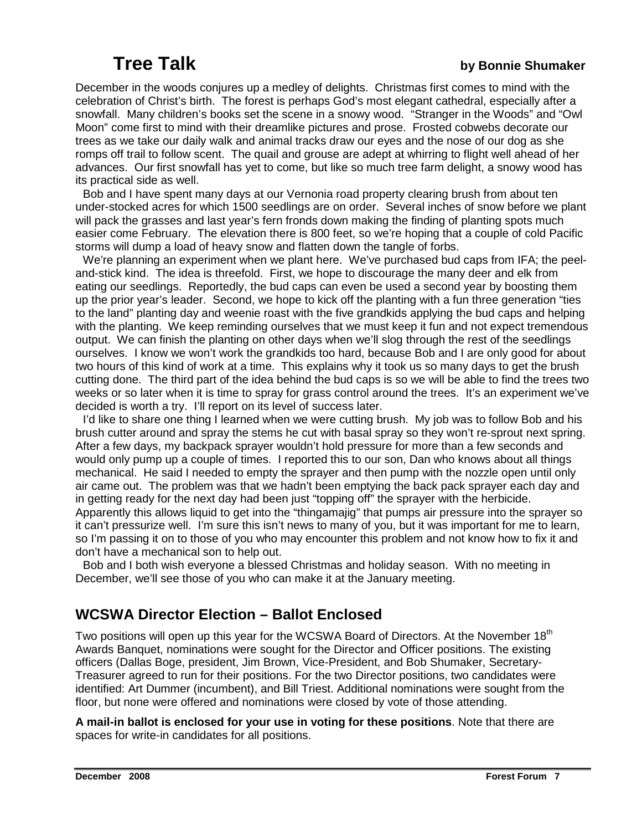### **Tree Talk by Bonnie Shumaker**

December in the woods conjures up a medley of delights. Christmas first comes to mind with the celebration of Christ's birth. The forest is perhaps God's most elegant cathedral, especially after a snowfall. Many children's books set the scene in a snowy wood. "Stranger in the Woods" and "Owl Moon" come first to mind with their dreamlike pictures and prose. Frosted cobwebs decorate our trees as we take our daily walk and animal tracks draw our eyes and the nose of our dog as she romps off trail to follow scent. The quail and grouse are adept at whirring to flight well ahead of her advances. Our first snowfall has yet to come, but like so much tree farm delight, a snowy wood has its practical side as well.

 Bob and I have spent many days at our Vernonia road property clearing brush from about ten under-stocked acres for which 1500 seedlings are on order. Several inches of snow before we plant will pack the grasses and last year's fern fronds down making the finding of planting spots much easier come February. The elevation there is 800 feet, so we're hoping that a couple of cold Pacific storms will dump a load of heavy snow and flatten down the tangle of forbs.

 We're planning an experiment when we plant here. We've purchased bud caps from IFA; the peeland-stick kind. The idea is threefold. First, we hope to discourage the many deer and elk from eating our seedlings. Reportedly, the bud caps can even be used a second year by boosting them up the prior year's leader. Second, we hope to kick off the planting with a fun three generation "ties to the land" planting day and weenie roast with the five grandkids applying the bud caps and helping with the planting. We keep reminding ourselves that we must keep it fun and not expect tremendous output. We can finish the planting on other days when we'll slog through the rest of the seedlings ourselves. I know we won't work the grandkids too hard, because Bob and I are only good for about two hours of this kind of work at a time. This explains why it took us so many days to get the brush cutting done. The third part of the idea behind the bud caps is so we will be able to find the trees two weeks or so later when it is time to spray for grass control around the trees. It's an experiment we've decided is worth a try. I'll report on its level of success later.

 I'd like to share one thing I learned when we were cutting brush. My job was to follow Bob and his brush cutter around and spray the stems he cut with basal spray so they won't re-sprout next spring. After a few days, my backpack sprayer wouldn't hold pressure for more than a few seconds and would only pump up a couple of times. I reported this to our son, Dan who knows about all things mechanical. He said I needed to empty the sprayer and then pump with the nozzle open until only air came out. The problem was that we hadn't been emptying the back pack sprayer each day and in getting ready for the next day had been just "topping off" the sprayer with the herbicide. Apparently this allows liquid to get into the "thingamajig" that pumps air pressure into the sprayer so it can't pressurize well. I'm sure this isn't news to many of you, but it was important for me to learn, so I'm passing it on to those of you who may encounter this problem and not know how to fix it and don't have a mechanical son to help out.

 Bob and I both wish everyone a blessed Christmas and holiday season. With no meeting in December, we'll see those of you who can make it at the January meeting.

### **WCSWA Director Election – Ballot Enclosed**

Two positions will open up this year for the WCSWA Board of Directors. At the November 18<sup>th</sup> Awards Banquet, nominations were sought for the Director and Officer positions. The existing officers (Dallas Boge, president, Jim Brown, Vice-President, and Bob Shumaker, Secretary-Treasurer agreed to run for their positions. For the two Director positions, two candidates were identified: Art Dummer (incumbent), and Bill Triest. Additional nominations were sought from the floor, but none were offered and nominations were closed by vote of those attending.

**A mail-in ballot is enclosed for your use in voting for these positions**. Note that there are spaces for write-in candidates for all positions.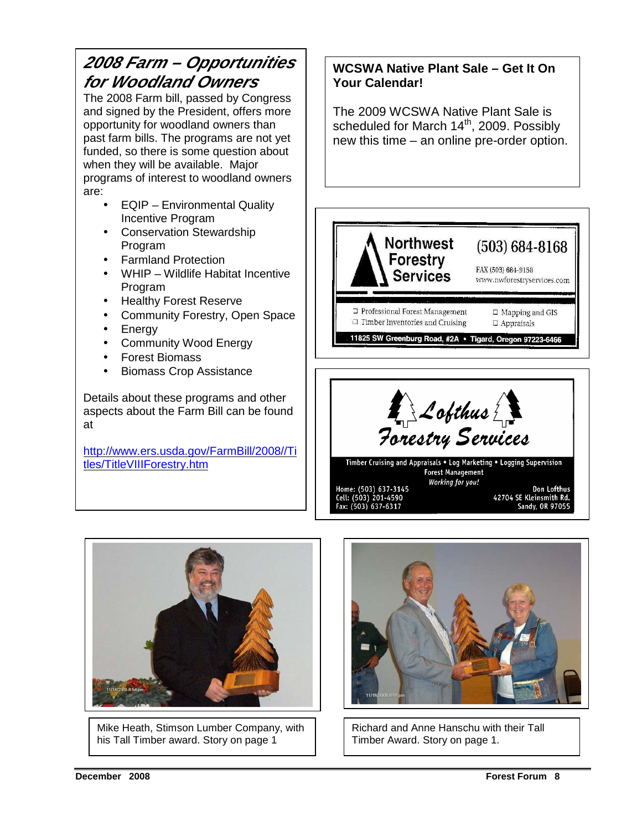### **2008 Farm – Opportunities for Woodland Owners**

The 2008 Farm bill, passed by Congress and signed by the President, offers more opportunity for woodland owners than past farm bills. The programs are not yet funded, so there is some question about when they will be available. Major programs of interest to woodland owners are:

- EQIP Environmental Quality Incentive Program
- Conservation Stewardship Program
- Farmland Protection
- WHIP Wildlife Habitat Incentive Program
- Healthy Forest Reserve
- Community Forestry, Open Space
- **Energy**

- Community Wood Energy
- Forest Biomass
- Biomass Crop Assistance

Details about these programs and other aspects about the Farm Bill can be found at

http://www.ers.usda.gov/FarmBill/2008//Ti tles/TitleVIIIForestry.htm

#### **WCSWA Native Plant Sale – Get It On Your Calendar!**

The 2009 WCSWA Native Plant Sale is scheduled for March  $14<sup>th</sup>$ , 2009. Possibly new this time – an online pre-order option.







Mike Heath, Stimson Lumber Company, with his Tall Timber award. Story on page 1



Richard and Anne Hanschu with their Tall Timber Award. Story on page 1.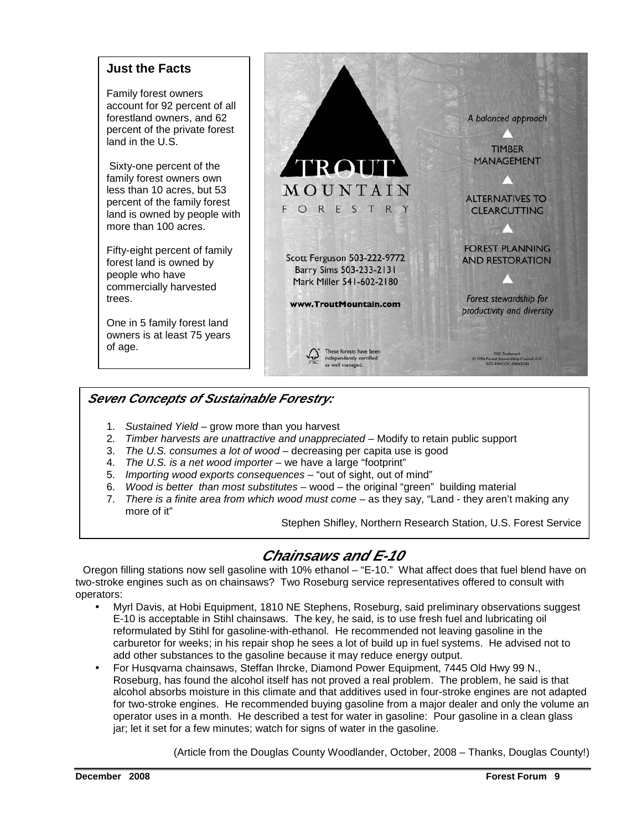

#### **Seven Concepts of Sustainable Forestry:**

- 1. Sustained Yield grow more than you harvest
- 2. Timber harvests are unattractive and unappreciated Modify to retain public support
- 3. The U.S. consumes a lot of wood decreasing per capita use is good
- 4. The U.S. is a net wood importer we have a large "footprint"
- 5. Importing wood exports consequences "out of sight, out of mind"
- 6. Wood is better than most substitutes wood the original "green" building material
- 7. There is a finite area from which wood must come as they say, "Land they aren't making any more of it"

Stephen Shifley, Northern Research Station, U.S. Forest Service

### **Chainsaws and E-10**

 Oregon filling stations now sell gasoline with 10% ethanol – "E-10." What affect does that fuel blend have on two-stroke engines such as on chainsaws? Two Roseburg service representatives offered to consult with operators:

- Myrl Davis, at Hobi Equipment, 1810 NE Stephens, Roseburg, said preliminary observations suggest E-10 is acceptable in Stihl chainsaws. The key, he said, is to use fresh fuel and lubricating oil reformulated by Stihl for gasoline-with-ethanol. He recommended not leaving gasoline in the carburetor for weeks; in his repair shop he sees a lot of build up in fuel systems. He advised not to add other substances to the gasoline because it may reduce energy output.
- For Husqvarna chainsaws, Steffan Ihrcke, Diamond Power Equipment, 7445 Old Hwy 99 N., Roseburg, has found the alcohol itself has not proved a real problem. The problem, he said is that alcohol absorbs moisture in this climate and that additives used in four-stroke engines are not adapted for two-stroke engines. He recommended buying gasoline from a major dealer and only the volume an operator uses in a month. He described a test for water in gasoline: Pour gasoline in a clean glass jar; let it set for a few minutes; watch for signs of water in the gasoline.

(Article from the Douglas County Woodlander, October, 2008 – Thanks, Douglas County!)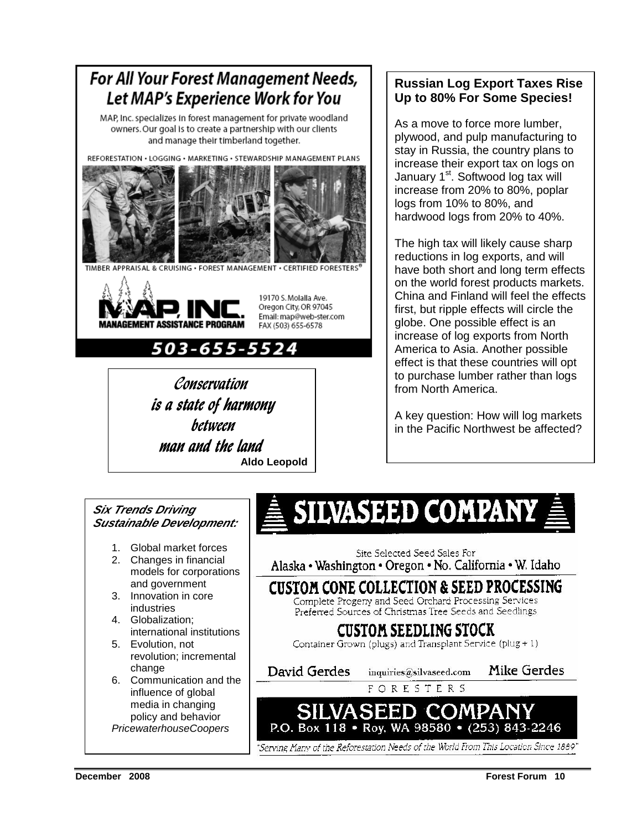### For All Your Forest Management Needs, Let MAP's Experience Work for You

MAP. Inc. specializes in forest management for private woodland owners. Our goal is to create a partnership with our clients and manage their timberland together.

REFORESTATION . LOGGING . MARKETING . STEWARDSHIP MANAGEMENT PLANS



TIMBER APPRAISAL & CRUISING · FOREST MANAGEMENT · CERTIFIED FORESTERS



19170 S. Molalla Ave. Oregon City, OR 97045 Email: map@web-ster.com FAX (503) 655-6578

### 503-655-5524

Conservation is a state of harmony between man and the land **Aldo Leopold**

#### **Russian Log Export Taxes Rise Up to 80% For Some Species!**

As a move to force more lumber, plywood, and pulp manufacturing to stay in Russia, the country plans to increase their export tax on logs on January 1<sup>st</sup>. Softwood log tax will increase from 20% to 80%, poplar logs from 10% to 80%, and hardwood logs from 20% to 40%.

The high tax will likely cause sharp reductions in log exports, and will have both short and long term effects on the world forest products markets. China and Finland will feel the effects first, but ripple effects will circle the globe. One possible effect is an increase of log exports from North America to Asia. Another possible effect is that these countries will opt to purchase lumber rather than logs from North America.

A key question: How will log markets in the Pacific Northwest be affected?

#### **Six Trends Driving Sustainable Development:**

- 1. Global market forces
- 2. Changes in financial models for corporations and government
- 3. Innovation in core industries
- 4. Globalization; international institutions
- 5. Evolution, not revolution; incremental change
- 6. Communication and the influence of global media in changing policy and behavior PricewaterhouseCoopers

# SILVASEED COMPANY

Site Selected Seed Sales For

Alaska • Washington • Oregon • No. California • W. Idaho

CUSTOM CONE COLLECTION & SEED PROCESSING Complete Progeny and Seed Orchard Processing Services Preferred Sources of Christmas Tree Seeds and Seedlings

### **CUSTOM SEEDLING STOCK**

Container Grown (plugs) and Transplant Service (plug + 1)

David Gerdes inquiries@silvaseed.com

Mike Gerdes

FORESTERS

LVASEED COMPAN P.O. Box 118 • Roy, WA 98580 • (253) 843-2246

"Serving Many of the Reforestation Needs of the World From This Location Since 1889"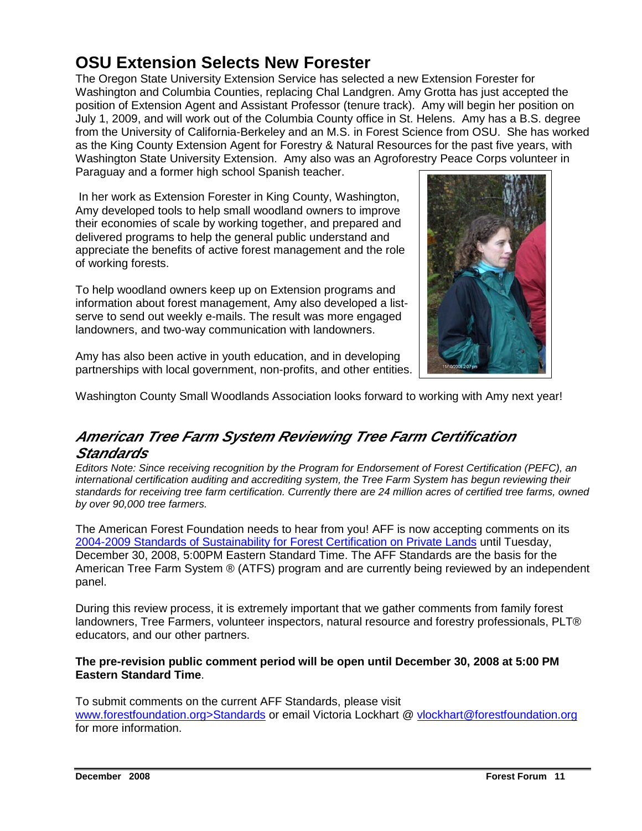#### **December 2008 Forest Forum 11**

### **OSU Extension Selects New Forester**

The Oregon State University Extension Service has selected a new Extension Forester for Washington and Columbia Counties, replacing Chal Landgren. Amy Grotta has just accepted the position of Extension Agent and Assistant Professor (tenure track). Amy will begin her position on July 1, 2009, and will work out of the Columbia County office in St. Helens. Amy has a B.S. degree from the University of California-Berkeley and an M.S. in Forest Science from OSU. She has worked as the King County Extension Agent for Forestry & Natural Resources for the past five years, with Washington State University Extension. Amy also was an Agroforestry Peace Corps volunteer in Paraguay and a former high school Spanish teacher.

 In her work as Extension Forester in King County, Washington, Amy developed tools to help small woodland owners to improve their economies of scale by working together, and prepared and delivered programs to help the general public understand and appreciate the benefits of active forest management and the role of working forests.

To help woodland owners keep up on Extension programs and information about forest management, Amy also developed a listserve to send out weekly e-mails. The result was more engaged landowners, and two-way communication with landowners.

Amy has also been active in youth education, and in developing partnerships with local government, non-profits, and other entities.

Washington County Small Woodlands Association looks forward to working with Amy next year!

### **American Tree Farm System Reviewing Tree Farm Certification Standards**

Editors Note: Since receiving recognition by the Program for Endorsement of Forest Certification (PEFC), an international certification auditing and accrediting system, the Tree Farm System has begun reviewing their standards for receiving tree farm certification. Currently there are 24 million acres of certified tree farms, owned by over 90,000 tree farmers.

The American Forest Foundation needs to hear from you! AFF is now accepting comments on its 2004-2009 Standards of Sustainability for Forest Certification on Private Lands until Tuesday, December 30, 2008, 5:00PM Eastern Standard Time. The AFF Standards are the basis for the American Tree Farm System ® (ATFS) program and are currently being reviewed by an independent panel.

During this review process, it is extremely important that we gather comments from family forest landowners, Tree Farmers, volunteer inspectors, natural resource and forestry professionals, PLT® educators, and our other partners.

#### **The pre-revision public comment period will be open until December 30, 2008 at 5:00 PM Eastern Standard Time**.

To submit comments on the current AFF Standards, please visit www.forestfoundation.org>Standards or email Victoria Lockhart @ vlockhart@forestfoundation.org for more information.